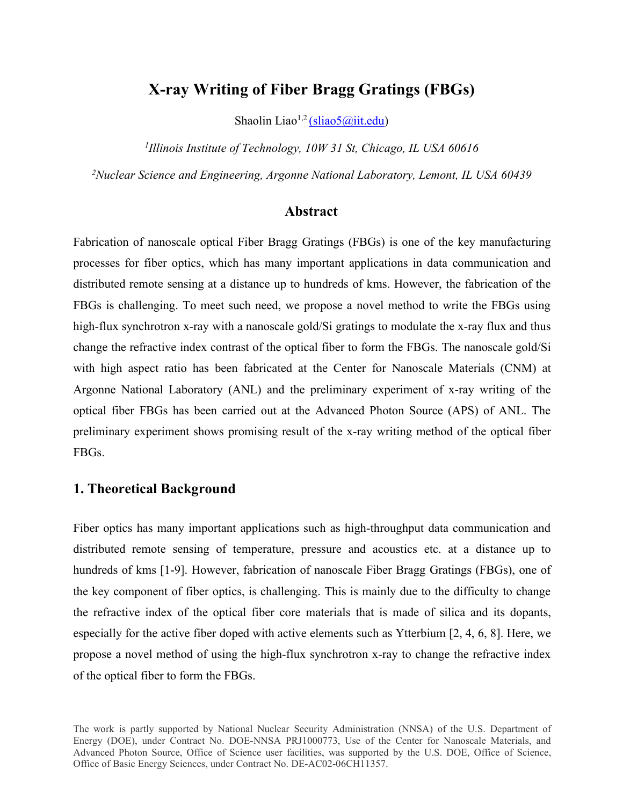# **X-ray Writing of Fiber Bragg Gratings (FBGs)**

Shaolin Liao<sup>1,2</sup> <u>[\(sliao5@iit.edu](mailto:(sliao5@iit.edu)</u>)

*<sup>1</sup>Illinois Institute of Technology, 10W 31 St, Chicago, IL USA 60616*

*<sup>2</sup>Nuclear Science and Engineering, Argonne National Laboratory, Lemont, IL USA 60439*

#### **Abstract**

Fabrication of nanoscale optical Fiber Bragg Gratings (FBGs) is one of the key manufacturing processes for fiber optics, which has many important applications in data communication and distributed remote sensing at a distance up to hundreds of kms. However, the fabrication of the FBGs is challenging. To meet such need, we propose a novel method to write the FBGs using high-flux synchrotron x-ray with a nanoscale gold/Si gratings to modulate the x-ray flux and thus change the refractive index contrast of the optical fiber to form the FBGs. The nanoscale gold/Si with high aspect ratio has been fabricated at the Center for Nanoscale Materials (CNM) at Argonne National Laboratory (ANL) and the preliminary experiment of x-ray writing of the optical fiber FBGs has been carried out at the Advanced Photon Source (APS) of ANL. The preliminary experiment shows promising result of the x-ray writing method of the optical fiber FBGs.

#### **1. Theoretical Background**

Fiber optics has many important applications such as high-throughput data communication and distributed remote sensing of temperature, pressure and acoustics etc. at a distance up to hundreds of kms [1-9]. However, fabrication of nanoscale Fiber Bragg Gratings (FBGs), one of the key component of fiber optics, is challenging. This is mainly due to the difficulty to change the refractive index of the optical fiber core materials that is made of silica and its dopants, especially for the active fiber doped with active elements such as Ytterbium  $[2, 4, 6, 8]$ . Here, we propose a novel method of using the high-flux synchrotron x-ray to change the refractive index of the optical fiber to form the FBGs.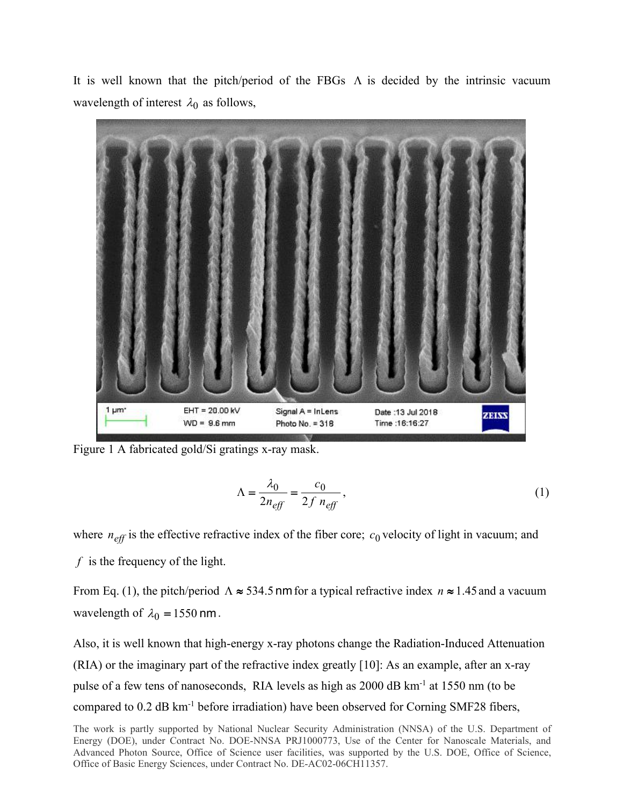It is well known that the pitch/period of the FBGs  $\Lambda$  is decided by the intrinsic vacuum wavelength of interest  $\lambda_0$  as follows,



Figure 1 A fabricated gold/Si gratings x-ray mask.

$$
\Lambda = \frac{\lambda_0}{2n_{\text{eff}}} = \frac{c_0}{2f n_{\text{eff}}},\tag{1}
$$

where  $n_{\text{eff}}$  is the effective refractive index of the fiber core;  $c_0$  velocity of light in vacuum; and

*f* is the frequency of the light.

From Eq. (1), the pitch/period  $\Lambda \approx 534.5$  nm for a typical refractive index  $n \approx 1.45$  and a vacuum wavelength of  $\lambda_0 = 1550$  nm.

Also, it is well known that high-energy x-ray photons change the Radiation-Induced Attenuation (RIA) or the imaginary part of the refractive index greatly [10]: As an example, after an x-ray pulse of a few tens of nanoseconds, RIA levels as high as 2000 dB km<sup>-1</sup> at 1550 nm (to be compared to 0.2 dB km-1 before irradiation) have been observed for Corning SMF28 fibers,

The work is partly supported by National Nuclear Security Administration (NNSA) of the U.S. Department of Energy (DOE), under Contract No. DOE-NNSA PRJ1000773, Use of the Center for Nanoscale Materials, and Advanced Photon Source, Office of Science user facilities, was supported by the U.S. DOE, Office of Science, Office of Basic Energy Sciences, under Contract No. DE-AC02-06CH11357.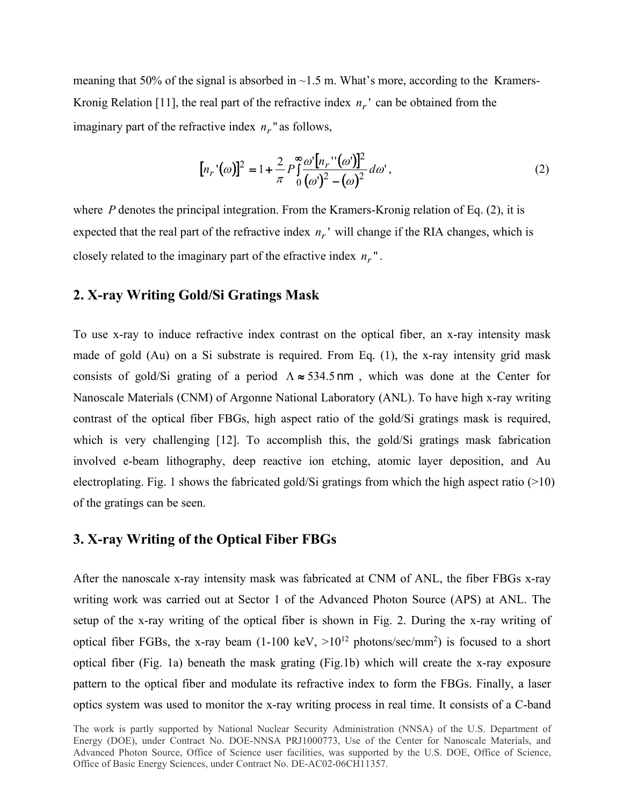meaning that 50% of the signal is absorbed in  $\sim$ 1.5 m. What's more, according to the Kramers-Kronig Relation [11], the real part of the refractive index  $n_r$ ' can be obtained from the imaginary part of the refractive index  $n_r$  as follows,

$$
[n_r'(\omega)]^2 = 1 + \frac{2}{\pi} P \int_0^{\infty} \frac{\omega' [n_r''(\omega')]^2}{(\omega')^2 - (\omega)^2} d\omega',
$$
 (2)

where *P* denotes the principal integration. From the Kramers-Kronig relation of Eq. (2), it is expected that the real part of the refractive index  $n_r$ ' will change if the RIA changes, which is closely related to the imaginary part of the efractive index  $n_r$ ".

### **2. X-ray Writing Gold/Si Gratings Mask**

To use x-ray to induce refractive index contrast on the optical fiber, an x-ray intensity mask made of gold (Au) on a Si substrate is required. From Eq. (1), the x-ray intensity grid mask consists of gold/Si grating of a period  $\Lambda \approx 534.5$  nm, which was done at the Center for Nanoscale Materials (CNM) of Argonne National Laboratory (ANL). To have high x-ray writing contrast of the optical fiber FBGs, high aspect ratio of the gold/Si gratings mask is required, which is very challenging [12]. To accomplish this, the gold/Si gratings mask fabrication involved e-beam lithography, deep reactive ion etching, atomic layer deposition, and Au electroplating. Fig. 1 shows the fabricated gold/Si gratings from which the high aspect ratio  $(>10)$ of the gratings can be seen.

#### **3. X-ray Writing of the Optical Fiber FBGs**

After the nanoscale x-ray intensity mask was fabricated at CNM of ANL, the fiber FBGs x-ray writing work was carried out at Sector 1 of the Advanced Photon Source (APS) at ANL. The setup of the x-ray writing of the optical fiber is shown in Fig. 2. During the x-ray writing of optical fiber FGBs, the x-ray beam  $(1\textrm{-}100 \textrm{ keV}, \geq 10^{12} \textrm{ photons/sec/mm}^2)$  is focused to a short optical fiber (Fig. 1a) beneath the mask grating (Fig.1b) which will create the x-ray exposure pattern to the optical fiber and modulate its refractive index to form the FBGs. Finally, a laser optics system was used to monitor the x-ray writing process in real time. It consists of a C-band

The work is partly supported by National Nuclear Security Administration (NNSA) of the U.S. Department of Energy (DOE), under Contract No. DOE-NNSA PRJ1000773, Use of the Center for Nanoscale Materials, and Advanced Photon Source, Office of Science user facilities, was supported by the U.S. DOE, Office of Science, Office of Basic Energy Sciences, under Contract No. DE-AC02-06CH11357.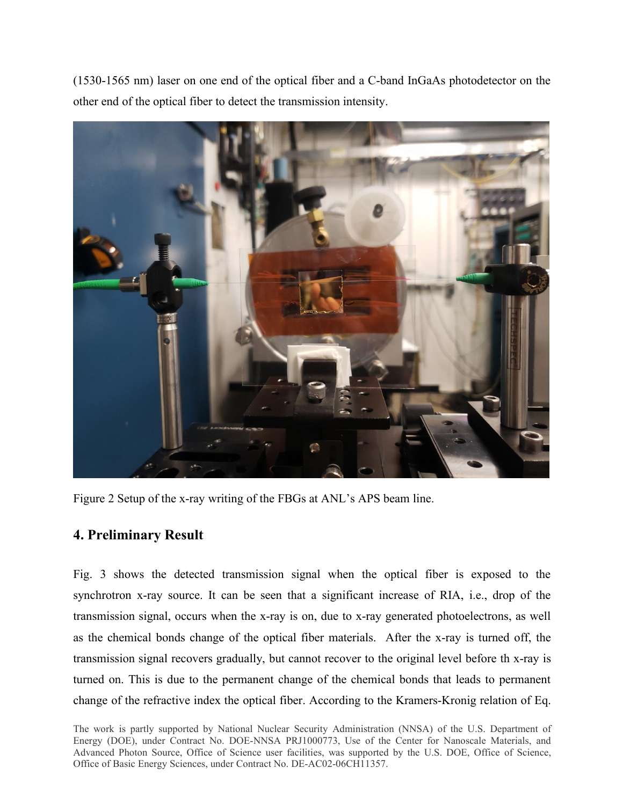(1530-1565 nm) laser on one end of the optical fiber and a C-band InGaAs photodetector on the other end of the optical fiber to detect the transmission intensity.



Figure 2 Setup of the x-ray writing of the FBGs at ANL's APS beam line.

## **4. Preliminary Result**

Fig. 3 shows the detected transmission signal when the optical fiber is exposed to the synchrotron x-ray source. It can be seen that a significant increase of RIA, i.e., drop of the transmission signal, occurs when the x-ray is on, due to x-ray generated photoelectrons, as well as the chemical bonds change of the optical fiber materials. After the x-ray is turned off, the transmission signal recovers gradually, but cannot recover to the original level before th x-ray is turned on. This is due to the permanent change of the chemical bonds that leads to permanent change of the refractive index the optical fiber. According to the Kramers-Kronig relation of Eq.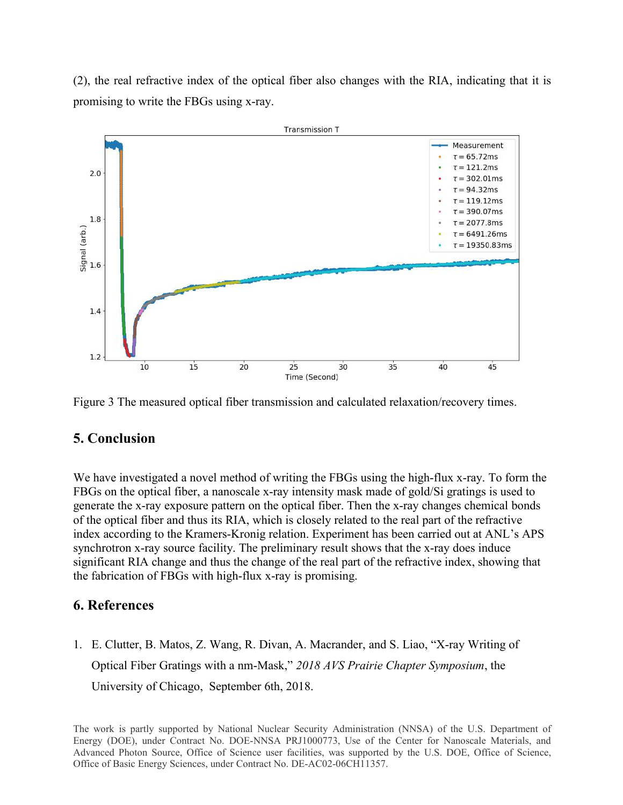(2), the real refractive index of the optical fiber also changes with the RIA, indicating that it is promising to write the FBGs using x-ray.



Figure 3 The measured optical fiber transmission and calculated relaxation/recovery times.

## **5. Conclusion**

We have investigated a novel method of writing the FBGs using the high-flux x-ray. To form the FBGs on the optical fiber, a nanoscale x-ray intensity mask made of gold/Si gratings is used to generate the x-ray exposure pattern on the optical fiber. Then the x-ray changes chemical bonds of the optical fiber and thus its RIA, which is closely related to the realpart of the refractive index according to the Kramers-Kronig relation. Experiment has been carried out at ANL's APS synchrotron x-ray source facility. The preliminary result shows that the x-ray does induce significant RIA change and thus the change of the real part of the refractive index, showing that the fabrication of FBGs with high-flux x-ray is promising.

### **6. References**

1. E. Clutter, B. Matos, Z. Wang, R. Divan, A. Macrander, and S. Liao, "X-ray Writing of Optical Fiber Gratings with a nm-Mask," *2018 AVS Prairie Chapter Symposium*, the University of Chicago, September 6th, 2018.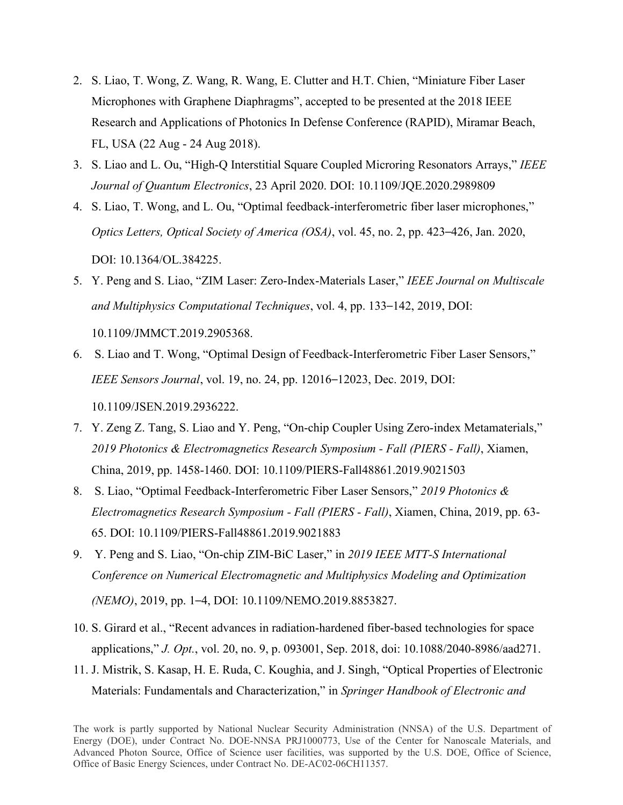- 2. S. Liao, T. Wong, Z. Wang, R. Wang, E. Clutter and H.T. Chien, "Miniature Fiber Laser Microphones with Graphene Diaphragms", accepted to be presented at the 2018 IEEE Research and Applications of Photonics In Defense Conference (RAPID), Miramar Beach, FL, USA (22 Aug - <sup>24</sup> Aug 2018).3. S. Liao and L. Ou, "High-Q Interstitial Square Coupled Microring Resonators Arrays," *IEEE*
- *Journal of Quantum Electronics*, 23 April 2020. DOI: 10.1109/JQE.2020.2989809
- 4. S. Liao, T. Wong, and L. Ou, "Optimal feedback-interferometric fiber laser microphones," *Optics Letters, Optical Society of America (OSA)*, vol. 45, no. 2, pp. 423–426, Jan. 2020, DOI: 10.1364/OL.384225.
- 5. Y. Peng and S. Liao, "ZIM Laser: Zero-Index-Materials Laser," *IEEE Journal on Multiscale and Multiphysics Computational Techniques*, vol. 4, pp. 133–142, 2019, DOI:

10.1109/JMMCT.2019.2905368.

6. S. Liao and T. Wong, "Optimal Design of Feedback-Interferometric Fiber Laser Sensors," *IEEE Sensors Journal*, vol. 19, no. 24, pp. 12016–12023, Dec. 2019, DOI:

10.1109/JSEN.2019.2936222.

- 7. Y. Zeng Z. Tang, S.Liao and Y. Peng, "On-chip Coupler Using Zero-index Metamaterials," *2019 Photonics & Electromagnetics Research Symposium - Fall (PIERS - Fall)*, Xiamen, China, 2019, pp. 1458-1460. DOI: 10.1109/PIERS-Fall48861.2019.9021503
- 8. S. Liao, "Optimal Feedback-Interferometric Fiber Laser Sensors," *2019 Photonics & Electromagnetics Research Symposium - Fall (PIERS - Fall)*, Xiamen, China, 2019, pp. 63- 65. DOI: 10.1109/PIERS-Fall48861.2019.9021883
- 9. Y. Peng and S. Liao, "On-chip ZIM-BiC Laser," in *2019 IEEE MTT-S International Conference on Numerical Electromagnetic and Multiphysics Modeling and Optimization (NEMO)*, 2019, pp. 1–4, DOI: 10.1109/NEMO.2019.8853827.
- 10. S. Girard et al., "Recent advances in radiation-hardened fiber-based technologies for space applications," *J. Opt.*, vol. 20, no. 9, p. 093001, Sep. 2018, doi: 10.1088/2040-8986/aad271.
- 11. J. Mistrik, S. Kasap, H. E. Ruda, C. Koughia, and J. Singh, "Optical Properties of Electronic Materials: Fundamentals and Characterization," in *Springer Handbook of Electronic and*

The work is partly supported by National Nuclear Security Administration (NNSA) of the U.S. Department of Energy (DOE), under Contract No. DOE-NNSA PRJ1000773, Use of the Center for Nanoscale Materials, and Advanced Photon Source, Office of Science user facilities, was supported by the U.S. DOE, Office of Science, Office of Basic Energy Sciences, under Contract No. DE-AC02-06CH11357.